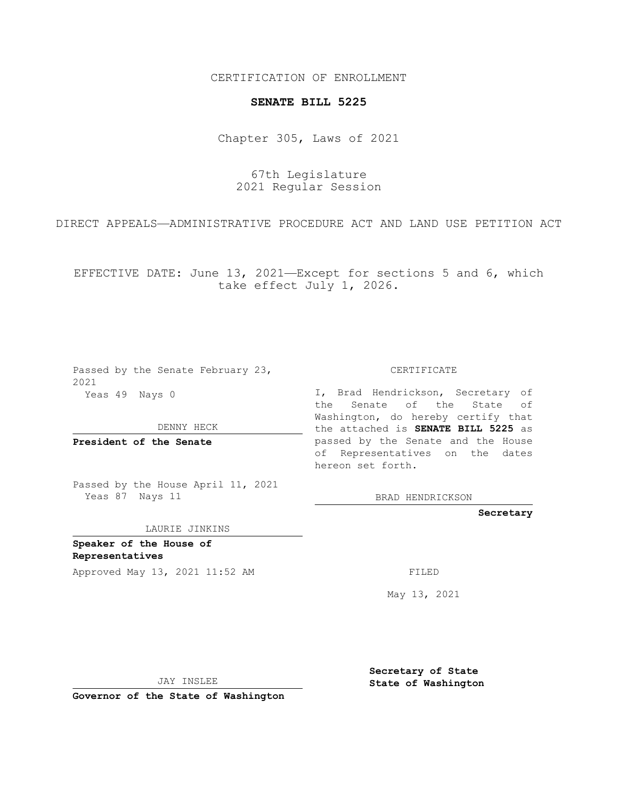CERTIFICATION OF ENROLLMENT

## **SENATE BILL 5225**

Chapter 305, Laws of 2021

67th Legislature 2021 Regular Session

DIRECT APPEALS—ADMINISTRATIVE PROCEDURE ACT AND LAND USE PETITION ACT

EFFECTIVE DATE: June 13, 2021—Except for sections 5 and 6, which take effect July 1, 2026.

| Passed by the Senate February 23,<br>2021 | CERTIFICATE                                                                                           |
|-------------------------------------------|-------------------------------------------------------------------------------------------------------|
| Yeas 49 Nays 0                            | I, Brad Hendrickson, Secretary of<br>the Senate of the State of<br>Washington, do hereby certify that |
| DENNY HECK                                | the attached is SENATE BILL 5225 as                                                                   |
| President of the Senate                   | passed by the Senate and the House<br>of Representatives on the dates<br>hereon set forth.            |
| Passed by the House April 11, 2021        |                                                                                                       |

BRAD HENDRICKSON

**Secretary**

LAURIE JINKINS

**Speaker of the House of Representatives**

Yeas 87 Nays 11

Approved May 13, 2021 11:52 AM FILED

May 13, 2021

JAY INSLEE

**Governor of the State of Washington**

**Secretary of State State of Washington**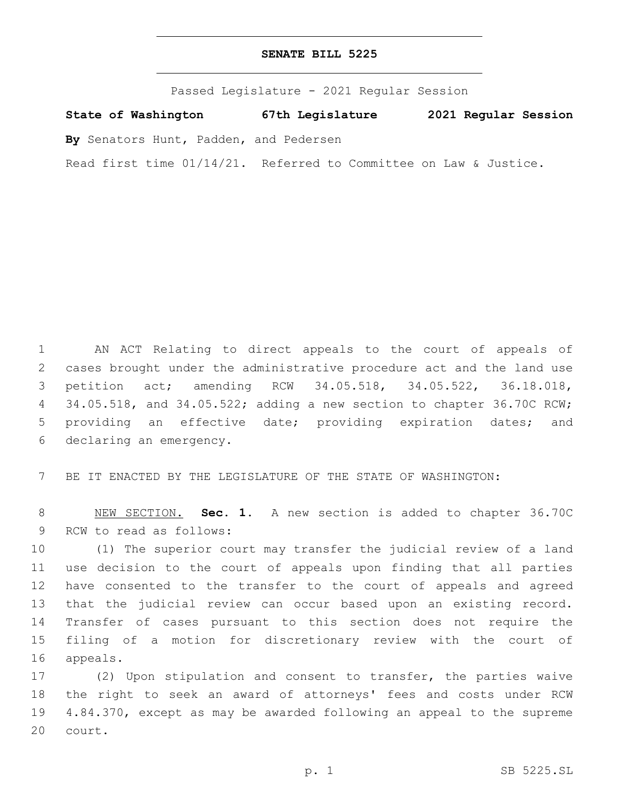Passed Legislature - 2021 Regular Session

**State of Washington 67th Legislature 2021 Regular Session**

**By** Senators Hunt, Padden, and Pedersen

Read first time 01/14/21. Referred to Committee on Law & Justice.

 AN ACT Relating to direct appeals to the court of appeals of cases brought under the administrative procedure act and the land use petition act; amending RCW 34.05.518, 34.05.522, 36.18.018, 34.05.518, and 34.05.522; adding a new section to chapter 36.70C RCW; providing an effective date; providing expiration dates; and 6 declaring an emergency.

BE IT ENACTED BY THE LEGISLATURE OF THE STATE OF WASHINGTON:

 NEW SECTION. **Sec. 1.** A new section is added to chapter 36.70C 9 RCW to read as follows:

 (1) The superior court may transfer the judicial review of a land use decision to the court of appeals upon finding that all parties have consented to the transfer to the court of appeals and agreed that the judicial review can occur based upon an existing record. Transfer of cases pursuant to this section does not require the filing of a motion for discretionary review with the court of 16 appeals.

 (2) Upon stipulation and consent to transfer, the parties waive the right to seek an award of attorneys' fees and costs under RCW 4.84.370, except as may be awarded following an appeal to the supreme 20 court.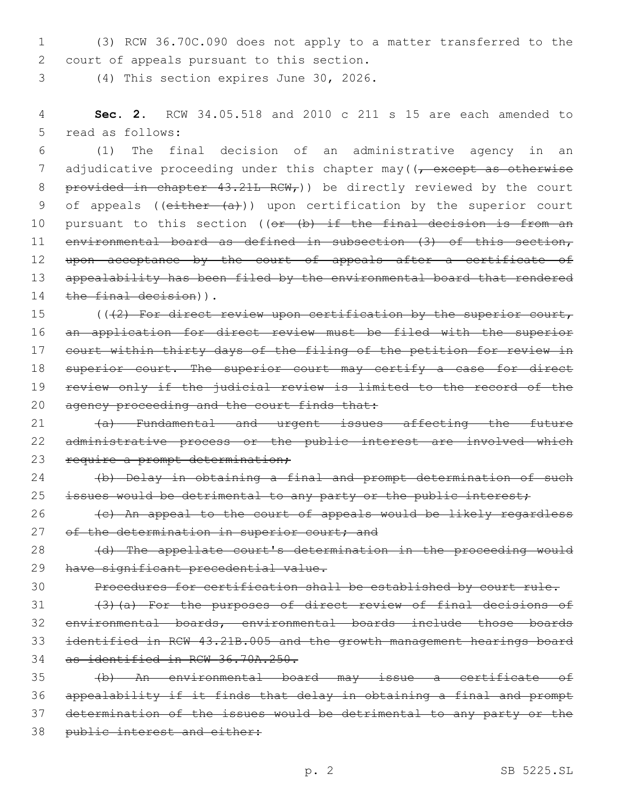1 (3) RCW 36.70C.090 does not apply to a matter transferred to the 2 court of appeals pursuant to this section.

3 (4) This section expires June 30, 2026.

4 **Sec. 2.** RCW 34.05.518 and 2010 c 211 s 15 are each amended to 5 read as follows:

6 (1) The final decision of an administrative agency in an 7 adjudicative proceeding under this chapter may  $(7 -$ except as otherwise 8 provided in chapter  $43.21L$  RCW<sub>r</sub>)) be directly reviewed by the court 9 of appeals ( $(e<sub>i</sub>ther (a))$ ) upon certification by the superior court 10 pursuant to this section ((or (b) if the final decision is from an 11 environmental board as defined in subsection (3) of this section, 12 upon acceptance by the court of appeals after a certificate of 13 appealability has been filed by the environmental board that rendered 14 the final decision)).

15 (((2) For direct review upon certification by the superior court, 16 an application for direct review must be filed with the superior 17 court within thirty days of the filing of the petition for review in 18 superior court. The superior court may certify a case for direct 19 review only if the judicial review is limited to the record of the 20 agency proceeding and the court finds that:

21 (a) Fundamental and urgent issues affecting the future 22 administrative process or the public interest are involved which 23 require a prompt determination;

24 (b) Delay in obtaining a final and prompt determination of such 25 issues would be detrimental to any party or the public interest;

26 (c) An appeal to the court of appeals would be likely regardless 27 of the determination in superior court; and

28 (d) The appellate court's determination in the proceeding would 29 have significant precedential value.

30 Procedures for certification shall be established by court rule.

 (3)(a) For the purposes of direct review of final decisions of environmental boards, environmental boards include those boards identified in RCW 43.21B.005 and the growth management hearings board as identified in RCW 36.70A.250.

 (b) An environmental board may issue a certificate of appealability if it finds that delay in obtaining a final and prompt determination of the issues would be detrimental to any party or the 38 public interest and either: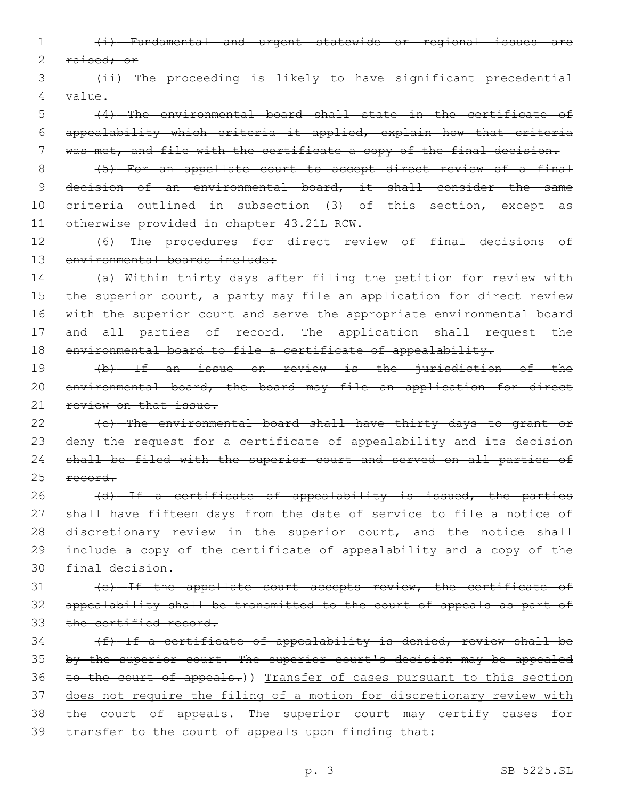- 1 (i) Fundamental and urgent statewide or regional issues are 2 raised; or
- 3 (ii) The proceeding is likely to have significant precedential 4 value.
- 5 (4) The environmental board shall state in the certificate of 6 appealability which criteria it applied, explain how that criteria 7 was met, and file with the certificate a copy of the final decision.
- 8 (5) For an appellate court to accept direct review of a final 9 decision of an environmental board, it shall consider the same 10 criteria outlined in subsection (3) of this section, except as 11 otherwise provided in chapter 43.21L RCW.
- 12 (6) The procedures for direct review of final decisions of 13 environmental boards include:
- 14 (a) Within thirty days after filing the petition for review with 15 the superior court, a party may file an application for direct review 16 with the superior court and serve the appropriate environmental board 17 and all parties of record. The application shall request the 18 environmental board to file a certificate of appealability.
- 19 (b) If an issue on review is the jurisdiction of the 20 environmental board, the board may file an application for direct 21 review on that issue.
- 22 (c) The environmental board shall have thirty days to grant or 23 deny the request for a certificate of appealability and its decision 24 shall be filed with the superior court and served on all parties of 25 record.
- 26 (d) If a certificate of appealability is issued, the parties 27 shall have fifteen days from the date of service to file a notice of 28 discretionary review in the superior court, and the notice shall 29 include a copy of the certificate of appealability and a copy of the 30 final decision.
- 31 (e) If the appellate court accepts review, the certificate of 32 appealability shall be transmitted to the court of appeals as part of 33 the certified record.
- 34 (f) If a certificate of appealability is denied, review shall be 35 by the superior court. The superior court's decision may be appealed 36 to the court of appeals.)) Transfer of cases pursuant to this section 37 does not require the filing of a motion for discretionary review with 38 the court of appeals. The superior court may certify cases for 39 transfer to the court of appeals upon finding that: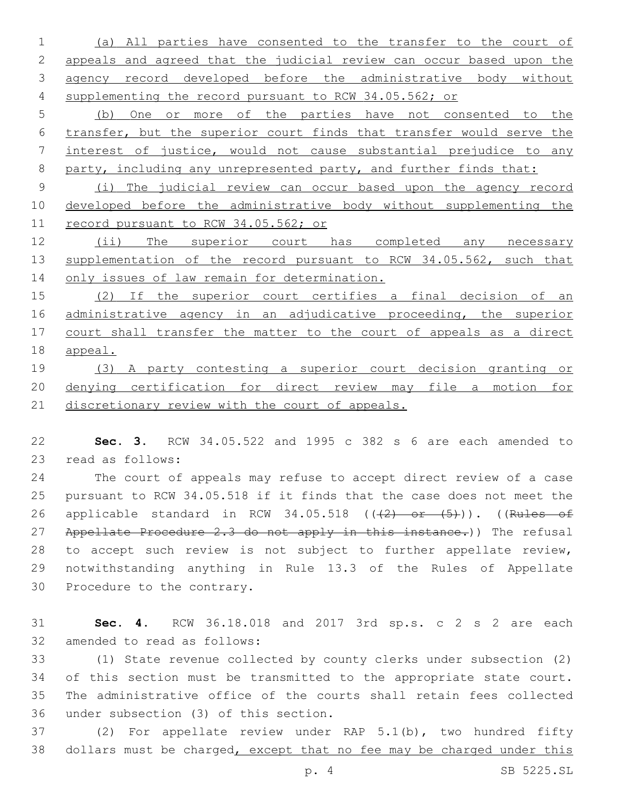(a) All parties have consented to the transfer to the court of appeals and agreed that the judicial review can occur based upon the agency record developed before the administrative body without supplementing the record pursuant to RCW 34.05.562; or

 (b) One or more of the parties have not consented to the transfer, but the superior court finds that transfer would serve the interest of justice, would not cause substantial prejudice to any 8 party, including any unrepresented party, and further finds that:

 (i) The judicial review can occur based upon the agency record developed before the administrative body without supplementing the record pursuant to RCW 34.05.562; or

 (ii) The superior court has completed any necessary 13 supplementation of the record pursuant to RCW 34.05.562, such that 14 only issues of law remain for determination.

 (2) If the superior court certifies a final decision of an administrative agency in an adjudicative proceeding, the superior court shall transfer the matter to the court of appeals as a direct appeal.

 (3) A party contesting a superior court decision granting or denying certification for direct review may file a motion for 21 discretionary review with the court of appeals.

 **Sec. 3.** RCW 34.05.522 and 1995 c 382 s 6 are each amended to 23 read as follows:

 The court of appeals may refuse to accept direct review of a case pursuant to RCW 34.05.518 if it finds that the case does not meet the 26 applicable standard in RCW 34.05.518  $((2)$  or  $(5)$ )). ((Rules of 27 Appellate Procedure 2.3 do not apply in this instance.)) The refusal to accept such review is not subject to further appellate review, notwithstanding anything in Rule 13.3 of the Rules of Appellate 30 Procedure to the contrary.

 **Sec. 4.** RCW 36.18.018 and 2017 3rd sp.s. c 2 s 2 are each 32 amended to read as follows:

 (1) State revenue collected by county clerks under subsection (2) of this section must be transmitted to the appropriate state court. The administrative office of the courts shall retain fees collected 36 under subsection (3) of this section.

 (2) For appellate review under RAP 5.1(b), two hundred fifty 38 dollars must be charged, except that no fee may be charged under this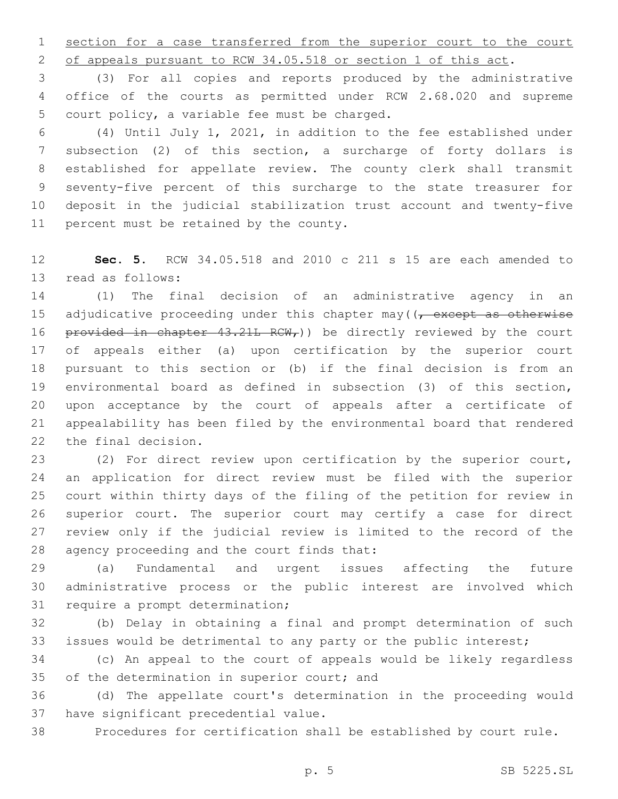section for a case transferred from the superior court to the court

of appeals pursuant to RCW 34.05.518 or section 1 of this act.

 (3) For all copies and reports produced by the administrative office of the courts as permitted under RCW 2.68.020 and supreme 5 court policy, a variable fee must be charged.

 (4) Until July 1, 2021, in addition to the fee established under subsection (2) of this section, a surcharge of forty dollars is established for appellate review. The county clerk shall transmit seventy-five percent of this surcharge to the state treasurer for deposit in the judicial stabilization trust account and twenty-five 11 percent must be retained by the county.

 **Sec. 5.** RCW 34.05.518 and 2010 c 211 s 15 are each amended to 13 read as follows:

 (1) The final decision of an administrative agency in an 15 adjudicative proceeding under this chapter may  $(7 - 0.025)$  except as otherwise 16 provided in chapter  $43.21L$  RCW, ) be directly reviewed by the court of appeals either (a) upon certification by the superior court pursuant to this section or (b) if the final decision is from an environmental board as defined in subsection (3) of this section, upon acceptance by the court of appeals after a certificate of appealability has been filed by the environmental board that rendered 22 the final decision.

 (2) For direct review upon certification by the superior court, an application for direct review must be filed with the superior court within thirty days of the filing of the petition for review in superior court. The superior court may certify a case for direct review only if the judicial review is limited to the record of the 28 agency proceeding and the court finds that:

 (a) Fundamental and urgent issues affecting the future administrative process or the public interest are involved which 31 require a prompt determination;

 (b) Delay in obtaining a final and prompt determination of such issues would be detrimental to any party or the public interest;

 (c) An appeal to the court of appeals would be likely regardless 35 of the determination in superior court; and

 (d) The appellate court's determination in the proceeding would 37 have significant precedential value.

Procedures for certification shall be established by court rule.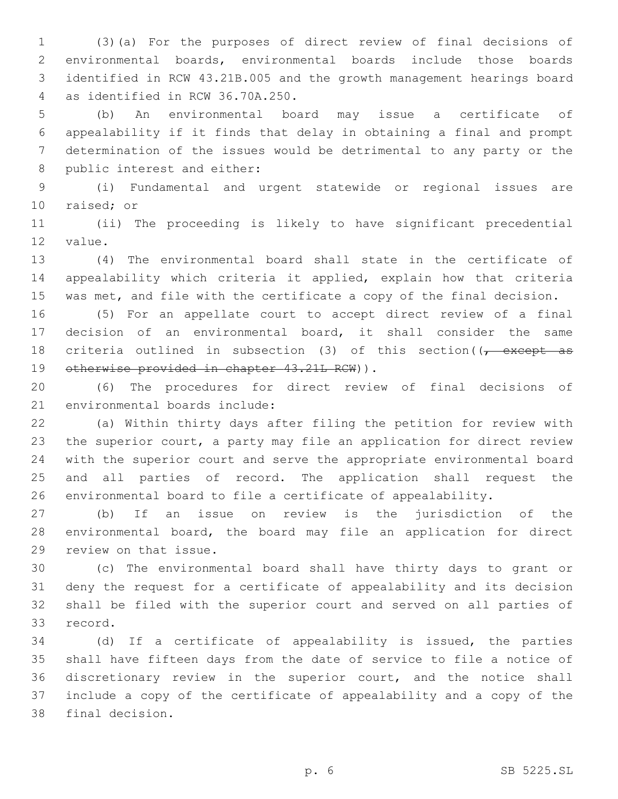(3)(a) For the purposes of direct review of final decisions of environmental boards, environmental boards include those boards identified in RCW 43.21B.005 and the growth management hearings board as identified in RCW 36.70A.250.4

 (b) An environmental board may issue a certificate of appealability if it finds that delay in obtaining a final and prompt determination of the issues would be detrimental to any party or the 8 public interest and either:

 (i) Fundamental and urgent statewide or regional issues are 10 raised; or

 (ii) The proceeding is likely to have significant precedential 12 value.

 (4) The environmental board shall state in the certificate of appealability which criteria it applied, explain how that criteria was met, and file with the certificate a copy of the final decision.

 (5) For an appellate court to accept direct review of a final decision of an environmental board, it shall consider the same 18 criteria outlined in subsection (3) of this section( $\sqrt{t}$  except as 19 otherwise provided in chapter 43.21L RCW)).

 (6) The procedures for direct review of final decisions of 21 environmental boards include:

 (a) Within thirty days after filing the petition for review with the superior court, a party may file an application for direct review with the superior court and serve the appropriate environmental board and all parties of record. The application shall request the environmental board to file a certificate of appealability.

 (b) If an issue on review is the jurisdiction of the environmental board, the board may file an application for direct 29 review on that issue.

 (c) The environmental board shall have thirty days to grant or deny the request for a certificate of appealability and its decision shall be filed with the superior court and served on all parties of 33 record.

 (d) If a certificate of appealability is issued, the parties shall have fifteen days from the date of service to file a notice of discretionary review in the superior court, and the notice shall include a copy of the certificate of appealability and a copy of the 38 final decision.